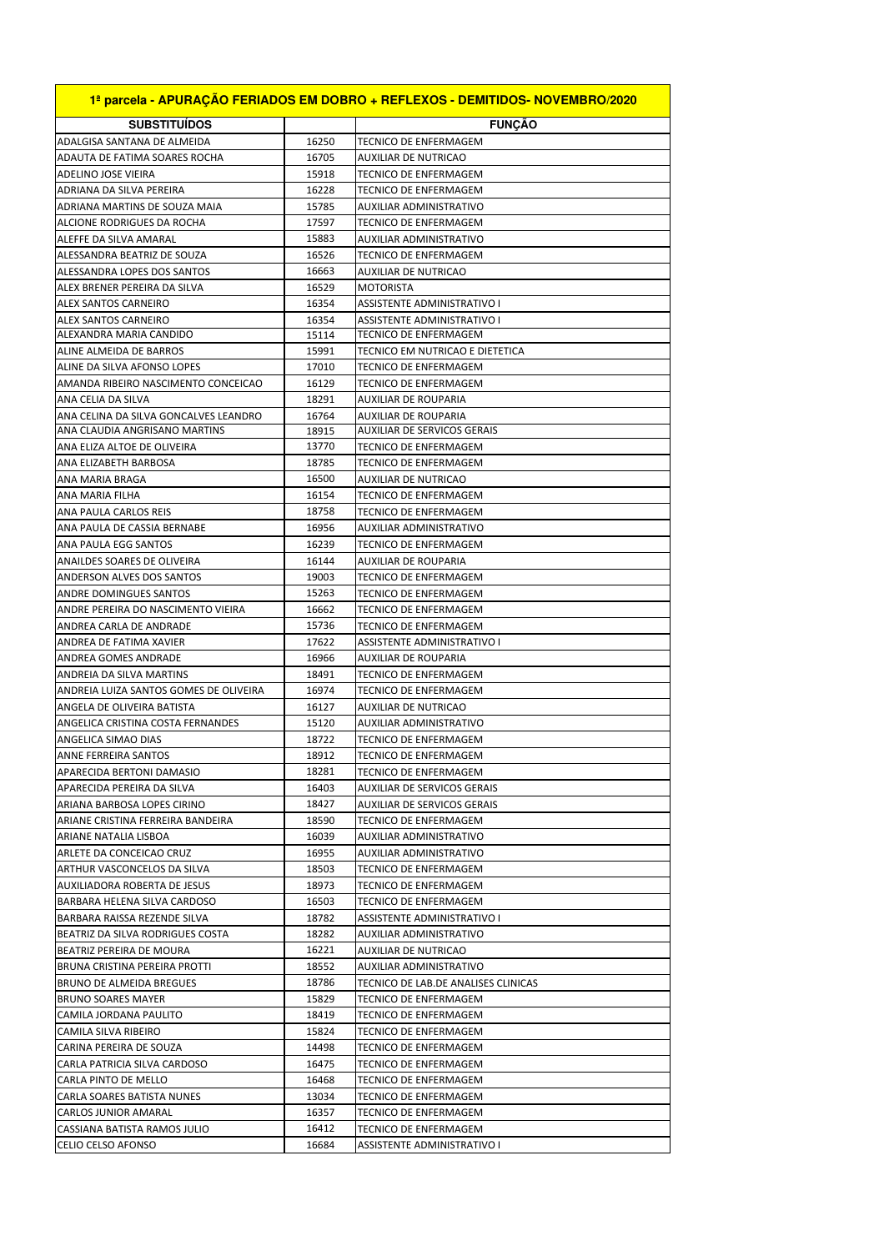| 1ª parcela - APURAÇÃO FERIADOS EM DOBRO + REFLEXOS - DEMITIDOS- NOVEMBRO/2020 |                |                                                      |
|-------------------------------------------------------------------------------|----------------|------------------------------------------------------|
| <b>SUBSTITUIDOS</b>                                                           |                | <b>FUNCAO</b>                                        |
| ADALGISA SANTANA DE ALMEIDA                                                   | 16250          | <b>TECNICO DE ENFERMAGEM</b>                         |
| ADAUTA DE FATIMA SOARES ROCHA                                                 | 16705          | AUXILIAR DE NUTRICAO                                 |
| ADELINO JOSE VIEIRA                                                           | 15918          | TECNICO DE ENFERMAGEM                                |
| ADRIANA DA SILVA PEREIRA                                                      | 16228          | TECNICO DE ENFERMAGEM                                |
| ADRIANA MARTINS DE SOUZA MAIA                                                 | 15785          | AUXILIAR ADMINISTRATIVO                              |
| ALCIONE RODRIGUES DA ROCHA                                                    | 17597          | TECNICO DE ENFERMAGEM                                |
| ALEFFE DA SILVA AMARAL                                                        | 15883          | AUXILIAR ADMINISTRATIVO                              |
| ALESSANDRA BEATRIZ DE SOUZA                                                   | 16526          | <b>TECNICO DE ENFERMAGEM</b>                         |
| ALESSANDRA LOPES DOS SANTOS                                                   | 16663          | AUXILIAR DE NUTRICAO                                 |
| ALEX BRENER PEREIRA DA SILVA                                                  | 16529          | <b>MOTORISTA</b>                                     |
| <b>ALEX SANTOS CARNEIRO</b>                                                   | 16354          | <b>ASSISTENTE ADMINISTRATIVO I</b>                   |
| ALEX SANTOS CARNEIRO                                                          | 16354          | ASSISTENTE ADMINISTRATIVO I                          |
| ALEXANDRA MARIA CANDIDO                                                       | 15114          | TECNICO DE ENFERMAGEM                                |
| ALINE ALMEIDA DE BARROS                                                       | 15991          | TECNICO EM NUTRICAO E DIETETICA                      |
| ALINE DA SILVA AFONSO LOPES                                                   | 17010          | TECNICO DE ENFERMAGEM                                |
| AMANDA RIBEIRO NASCIMENTO CONCEICAO                                           | 16129          | TECNICO DE ENFERMAGEM                                |
| ANA CELIA DA SILVA                                                            | 18291          | <b>AUXILIAR DE ROUPARIA</b>                          |
| ANA CELINA DA SILVA GONCALVES LEANDRO                                         | 16764          | <b>AUXILIAR DE ROUPARIA</b>                          |
| ANA CLAUDIA ANGRISANO MARTINS                                                 | 18915          | <b>AUXILIAR DE SERVICOS GERAIS</b>                   |
| ANA ELIZA ALTOE DE OLIVEIRA                                                   | 13770          | TECNICO DE ENFERMAGEM                                |
| ANA ELIZABETH BARBOSA                                                         | 18785          | <b>TECNICO DE ENFERMAGEM</b>                         |
| ANA MARIA BRAGA                                                               | 16500          | <b>AUXILIAR DE NUTRICAO</b>                          |
| ANA MARIA FILHA                                                               | 16154          | TECNICO DE ENFERMAGEM                                |
| ANA PAULA CARLOS REIS                                                         | 18758          | TECNICO DE ENFERMAGEM                                |
| ANA PAULA DE CASSIA BERNABE                                                   | 16956          | AUXILIAR ADMINISTRATIVO                              |
| ANA PAULA EGG SANTOS                                                          | 16239          | TECNICO DE ENFERMAGEM                                |
| ANAILDES SOARES DE OLIVEIRA                                                   | 16144          | <b>AUXILIAR DE ROUPARIA</b>                          |
| ANDERSON ALVES DOS SANTOS                                                     | 19003          | <b>TECNICO DE ENFERMAGEM</b>                         |
| ANDRE DOMINGUES SANTOS                                                        | 15263          | TECNICO DE ENFERMAGEM                                |
| ANDRE PEREIRA DO NASCIMENTO VIEIRA                                            | 16662          | TECNICO DE ENFERMAGEM                                |
| ANDREA CARLA DE ANDRADE                                                       | 15736          | TECNICO DE ENFERMAGEM                                |
| ANDREA DE FATIMA XAVIER                                                       | 17622          | ASSISTENTE ADMINISTRATIVO I                          |
| ANDREA GOMES ANDRADE                                                          | 16966          | <b>AUXILIAR DE ROUPARIA</b>                          |
| ANDREIA DA SILVA MARTINS                                                      | 18491          | TECNICO DE ENFERMAGEM                                |
| ANDREIA LUIZA SANTOS GOMES DE OLIVEIRA                                        | 16974          | TECNICO DE ENFERMAGEM                                |
| ANGELA DE OLIVEIRA BATISTA                                                    | 16127          | AUXILIAR DE NUTRICAO                                 |
| ANGELICA CRISTINA COSTA FERNANDES                                             | 15120          | AUXILIAR ADMINISTRATIVO                              |
| ANGELICA SIMAO DIAS                                                           | 18722          | TECNICO DE ENFERMAGEM                                |
| ANNE FERREIRA SANTOS                                                          | 18912          | TECNICO DE ENFERMAGEM                                |
| APARECIDA BERTONI DAMASIO                                                     | 18281          | TECNICO DE ENFERMAGEM                                |
| APARECIDA PEREIRA DA SILVA                                                    | 16403          | AUXILIAR DE SERVICOS GERAIS                          |
| ARIANA BARBOSA LOPES CIRINO                                                   | 18427          | AUXILIAR DE SERVICOS GERAIS<br>TECNICO DE ENFERMAGEM |
| ARIANE CRISTINA FERREIRA BANDEIRA<br>ARIANE NATALIA LISBOA                    | 18590<br>16039 | AUXILIAR ADMINISTRATIVO                              |
| ARLETE DA CONCEICAO CRUZ                                                      | 16955          | AUXILIAR ADMINISTRATIVO                              |
| <b>ARTHUR VASCONCELOS DA SILVA</b>                                            | 18503          | TECNICO DE ENFERMAGEM                                |
| <b>AUXILIADORA ROBERTA DE JESUS</b>                                           | 18973          | TECNICO DE ENFERMAGEM                                |
| BARBARA HELENA SILVA CARDOSO                                                  | 16503          | TECNICO DE ENFERMAGEM                                |
| BARBARA RAISSA REZENDE SILVA                                                  | 18782          | ASSISTENTE ADMINISTRATIVO I                          |
| BEATRIZ DA SILVA RODRIGUES COSTA                                              | 18282          | AUXILIAR ADMINISTRATIVO                              |
| BEATRIZ PEREIRA DE MOURA                                                      | 16221          | AUXILIAR DE NUTRICAO                                 |
| BRUNA CRISTINA PEREIRA PROTTI                                                 | 18552          | AUXILIAR ADMINISTRATIVO                              |
| BRUNO DE ALMEIDA BREGUES                                                      | 18786          | TECNICO DE LAB.DE ANALISES CLINICAS                  |
| <b>BRUNO SOARES MAYER</b>                                                     | 15829          | TECNICO DE ENFERMAGEM                                |
| CAMILA JORDANA PAULITO                                                        | 18419          | TECNICO DE ENFERMAGEM                                |
| CAMILA SILVA RIBEIRO                                                          | 15824          | TECNICO DE ENFERMAGEM                                |
| CARINA PEREIRA DE SOUZA                                                       | 14498          | TECNICO DE ENFERMAGEM                                |
| CARLA PATRICIA SILVA CARDOSO                                                  | 16475          | TECNICO DE ENFERMAGEM                                |
| CARLA PINTO DE MELLO                                                          | 16468          | TECNICO DE ENFERMAGEM                                |
| CARLA SOARES BATISTA NUNES                                                    | 13034          | TECNICO DE ENFERMAGEM                                |
| CARLOS JUNIOR AMARAL                                                          | 16357          | TECNICO DE ENFERMAGEM                                |
| CASSIANA BATISTA RAMOS JULIO                                                  | 16412          | TECNICO DE ENFERMAGEM                                |
| CELIO CELSO AFONSO                                                            | 16684          | ASSISTENTE ADMINISTRATIVO I                          |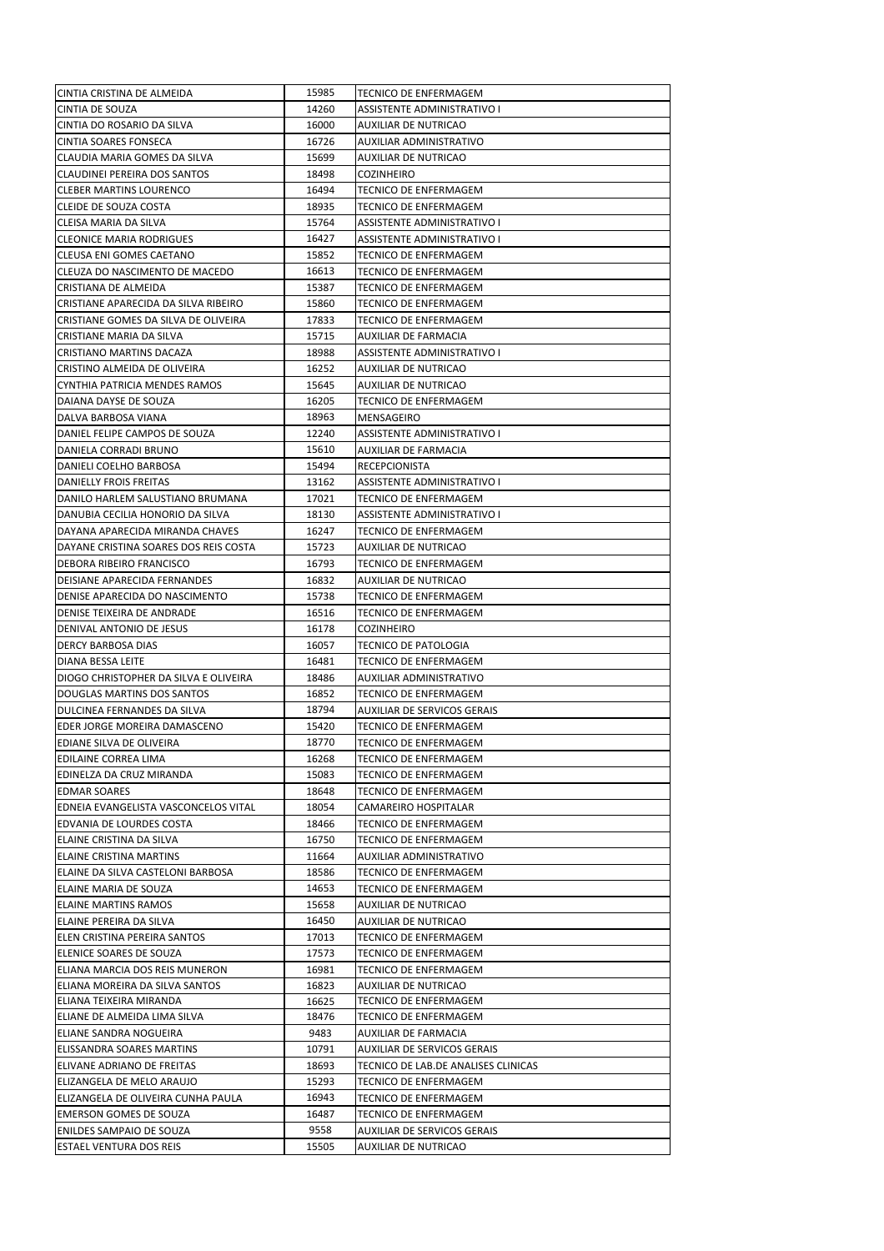| CINTIA CRISTINA DE ALMEIDA                                  | 15985         | TECNICO DE ENFERMAGEM                               |
|-------------------------------------------------------------|---------------|-----------------------------------------------------|
| <b>CINTIA DE SOUZA</b>                                      | 14260         | <b>ASSISTENTE ADMINISTRATIVO I</b>                  |
| CINTIA DO ROSARIO DA SILVA                                  | 16000         | AUXILIAR DE NUTRICAO                                |
| <b>CINTIA SOARES FONSECA</b>                                | 16726         | AUXILIAR ADMINISTRATIVO                             |
| CLAUDIA MARIA GOMES DA SILVA                                | 15699         | AUXILIAR DE NUTRICAO                                |
| <b>CLAUDINEI PEREIRA DOS SANTOS</b>                         | 18498         | COZINHEIRO                                          |
| <b>CLEBER MARTINS LOURENCO</b>                              | 16494         | TECNICO DE ENFERMAGEM                               |
| CLEIDE DE SOUZA COSTA                                       | 18935         | TECNICO DE ENFERMAGEM                               |
| CLEISA MARIA DA SILVA                                       | 15764         | ASSISTENTE ADMINISTRATIVO I                         |
| <b>CLEONICE MARIA RODRIGUES</b>                             | 16427         | ASSISTENTE ADMINISTRATIVO I                         |
| CLEUSA ENI GOMES CAETANO                                    | 15852         | TECNICO DE ENFERMAGEM                               |
| CLEUZA DO NASCIMENTO DE MACEDO                              | 16613         | TECNICO DE ENFERMAGEM                               |
| CRISTIANA DE ALMEIDA                                        | 15387         | <b>TECNICO DE ENFERMAGEM</b>                        |
| CRISTIANE APARECIDA DA SILVA RIBEIRO                        | 15860         | TECNICO DE ENFERMAGEM                               |
| CRISTIANE GOMES DA SILVA DE OLIVEIRA                        | 17833         | TECNICO DE ENFERMAGEM                               |
| CRISTIANE MARIA DA SILVA                                    | 15715         | AUXILIAR DE FARMACIA                                |
| CRISTIANO MARTINS DACAZA                                    | 18988         | ASSISTENTE ADMINISTRATIVO I                         |
| CRISTINO ALMEIDA DE OLIVEIRA                                | 16252         | AUXILIAR DE NUTRICAO                                |
| CYNTHIA PATRICIA MENDES RAMOS                               | 15645         | AUXILIAR DE NUTRICAO                                |
| DAIANA DAYSE DE SOUZA                                       | 16205         | TECNICO DE ENFERMAGEM                               |
| DALVA BARBOSA VIANA                                         | 18963         | MENSAGEIRO                                          |
| DANIEL FELIPE CAMPOS DE SOUZA                               | 12240         | ASSISTENTE ADMINISTRATIVO I                         |
| DANIELA CORRADI BRUNO                                       | 15610         | AUXILIAR DE FARMACIA                                |
| DANIELI COELHO BARBOSA                                      | 15494         | RECEPCIONISTA                                       |
| DANIELLY FROIS FREITAS                                      | 13162         | ASSISTENTE ADMINISTRATIVO I                         |
| DANILO HARLEM SALUSTIANO BRUMANA                            | 17021         | TECNICO DE ENFERMAGEM                               |
| DANUBIA CECILIA HONORIO DA SILVA                            | 18130         | ASSISTENTE ADMINISTRATIVO I                         |
| DAYANA APARECIDA MIRANDA CHAVES                             | 16247         | TECNICO DE ENFERMAGEM                               |
| DAYANE CRISTINA SOARES DOS REIS COSTA                       | 15723         | AUXILIAR DE NUTRICAO                                |
| DEBORA RIBEIRO FRANCISCO                                    | 16793         | TECNICO DE ENFERMAGEM                               |
| DEISIANE APARECIDA FERNANDES                                | 16832         | AUXILIAR DE NUTRICAO                                |
| DENISE APARECIDA DO NASCIMENTO                              | 15738         | TECNICO DE ENFERMAGEM                               |
| DENISE TEIXEIRA DE ANDRADE                                  | 16516         | TECNICO DE ENFERMAGEM                               |
| DENIVAL ANTONIO DE JESUS                                    | 16178         | COZINHEIRO                                          |
| DERCY BARBOSA DIAS                                          | 16057         | TECNICO DE PATOLOGIA                                |
| DIANA BESSA LEITE                                           | 16481         | TECNICO DE ENFERMAGEM                               |
| DIOGO CHRISTOPHER DA SILVA E OLIVEIRA                       | 18486         | AUXILIAR ADMINISTRATIVO                             |
| DOUGLAS MARTINS DOS SANTOS                                  | 16852         | TECNICO DE ENFERMAGEM                               |
| DULCINEA FERNANDES DA SILVA                                 | 18794         | AUXILIAR DE SERVICOS GERAIS                         |
| EDER JORGE MOREIRA DAMASCENO                                | 15420         | TECNICO DE ENFERMAGEM                               |
| EDIANE SILVA DE OLIVEIRA                                    | 18770         | TECNICO DE ENFERMAGEM                               |
| EDILAINE CORREA LIMA                                        | 16268         |                                                     |
| EDINELZA DA CRUZ MIRANDA                                    | 15083         | TECNICO DE ENFERMAGEM<br>TECNICO DE ENFERMAGEM      |
|                                                             | 18648         |                                                     |
| <b>EDMAR SOARES</b><br>EDNEIA EVANGELISTA VASCONCELOS VITAL | 18054         | TECNICO DE ENFERMAGEM                               |
|                                                             |               | CAMAREIRO HOSPITALAR                                |
| EDVANIA DE LOURDES COSTA                                    | 18466         | TECNICO DE ENFERMAGEM                               |
| ELAINE CRISTINA DA SILVA                                    | 16750         | TECNICO DE ENFERMAGEM                               |
| <b>ELAINE CRISTINA MARTINS</b>                              |               |                                                     |
| ELAINE DA SILVA CASTELONI BARBOSA                           | 11664         | AUXILIAR ADMINISTRATIVO                             |
|                                                             | 18586         | TECNICO DE ENFERMAGEM                               |
| ELAINE MARIA DE SOUZA                                       | 14653         | TECNICO DE ENFERMAGEM                               |
| <b>ELAINE MARTINS RAMOS</b>                                 | 15658         | AUXILIAR DE NUTRICAO                                |
| ELAINE PEREIRA DA SILVA                                     | 16450         | AUXILIAR DE NUTRICAO                                |
| ELEN CRISTINA PEREIRA SANTOS                                | 17013         | TECNICO DE ENFERMAGEM                               |
| ELENICE SOARES DE SOUZA                                     | 17573         | TECNICO DE ENFERMAGEM                               |
| ELIANA MARCIA DOS REIS MUNERON                              | 16981         | TECNICO DE ENFERMAGEM                               |
| ELIANA MOREIRA DA SILVA SANTOS                              | 16823         | AUXILIAR DE NUTRICAO                                |
| ELIANA TEIXEIRA MIRANDA                                     | 16625         | TECNICO DE ENFERMAGEM                               |
| ELIANE DE ALMEIDA LIMA SILVA                                | 18476         | TECNICO DE ENFERMAGEM                               |
| ELIANE SANDRA NOGUEIRA                                      | 9483          | AUXILIAR DE FARMACIA                                |
| ELISSANDRA SOARES MARTINS                                   | 10791         | AUXILIAR DE SERVICOS GERAIS                         |
| ELIVANE ADRIANO DE FREITAS                                  | 18693         | TECNICO DE LAB.DE ANALISES CLINICAS                 |
| ELIZANGELA DE MELO ARAUJO                                   | 15293         | TECNICO DE ENFERMAGEM                               |
| ELIZANGELA DE OLIVEIRA CUNHA PAULA                          | 16943         | TECNICO DE ENFERMAGEM                               |
| <b>EMERSON GOMES DE SOUZA</b>                               | 16487         | TECNICO DE ENFERMAGEM                               |
| ENILDES SAMPAIO DE SOUZA<br>ESTAEL VENTURA DOS REIS         | 9558<br>15505 | AUXILIAR DE SERVICOS GERAIS<br>AUXILIAR DE NUTRICAO |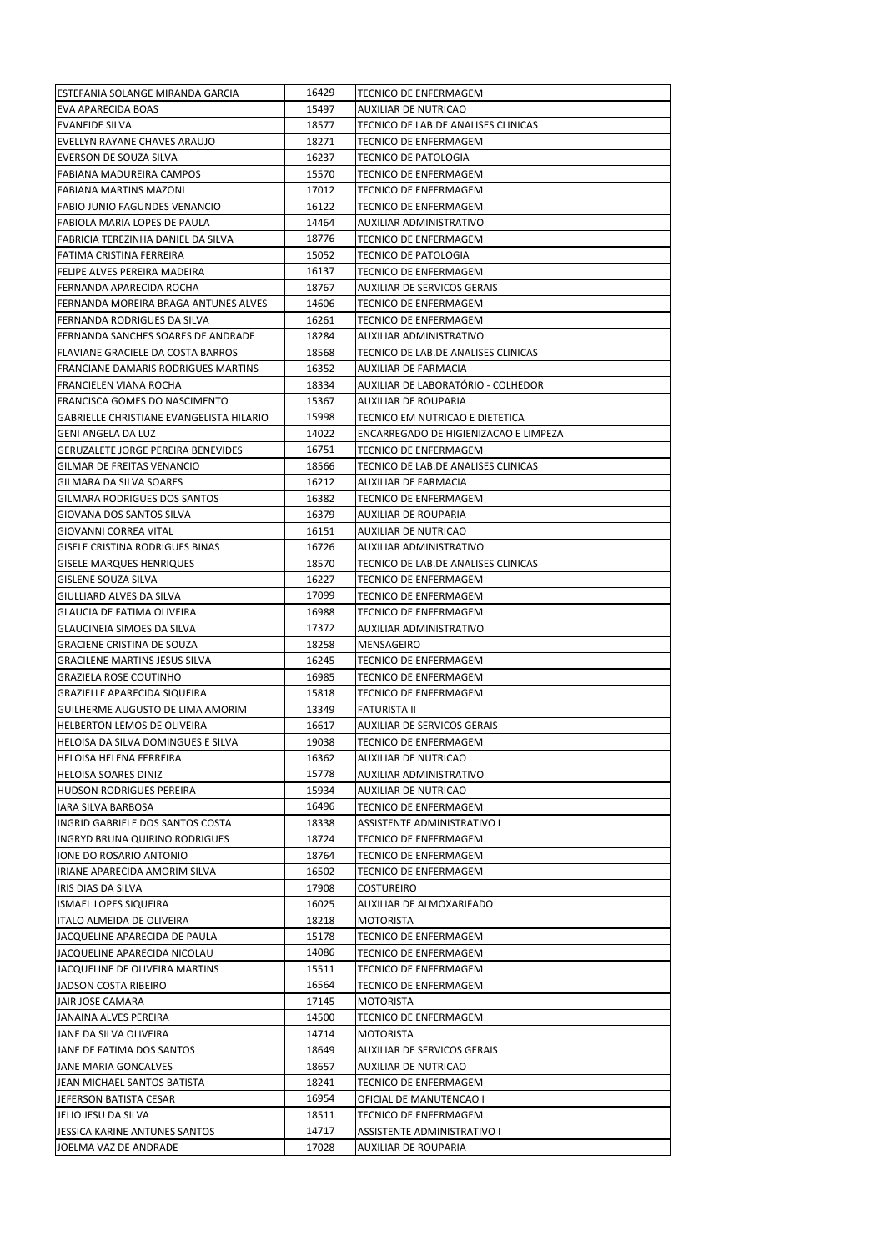| ESTEFANIA SOLANGE MIRANDA GARCIA         | 16429 | TECNICO DE ENFERMAGEM                 |
|------------------------------------------|-------|---------------------------------------|
| <b>EVA APARECIDA BOAS</b>                | 15497 | <b>AUXILIAR DE NUTRICAO</b>           |
| <b>EVANEIDE SILVA</b>                    | 18577 | TECNICO DE LAB.DE ANALISES CLINICAS   |
| EVELLYN RAYANE CHAVES ARAUJO             | 18271 | TECNICO DE ENFERMAGEM                 |
| <b>EVERSON DE SOUZA SILVA</b>            | 16237 | TECNICO DE PATOLOGIA                  |
| <b>FABIANA MADUREIRA CAMPOS</b>          | 15570 | TECNICO DE ENFERMAGEM                 |
| FABIANA MARTINS MAZONI                   | 17012 | TECNICO DE ENFERMAGEM                 |
| <b>FABIO JUNIO FAGUNDES VENANCIO</b>     | 16122 | <b>TECNICO DE ENFERMAGEM</b>          |
| FABIOLA MARIA LOPES DE PAULA             | 14464 | AUXILIAR ADMINISTRATIVO               |
| FABRICIA TEREZINHA DANIEL DA SILVA       | 18776 | TECNICO DE ENFERMAGEM                 |
| FATIMA CRISTINA FERREIRA                 | 15052 | TECNICO DE PATOLOGIA                  |
| FELIPE ALVES PEREIRA MADEIRA             | 16137 | TECNICO DE ENFERMAGEM                 |
| FERNANDA APARECIDA ROCHA                 | 18767 | AUXILIAR DE SERVICOS GERAIS           |
| FERNANDA MOREIRA BRAGA ANTUNES ALVES     | 14606 | TECNICO DE ENFERMAGEM                 |
| FERNANDA RODRIGUES DA SILVA              | 16261 | TECNICO DE ENFERMAGEM                 |
| FERNANDA SANCHES SOARES DE ANDRADE       | 18284 | AUXILIAR ADMINISTRATIVO               |
| FLAVIANE GRACIELE DA COSTA BARROS        | 18568 | TECNICO DE LAB.DE ANALISES CLINICAS   |
| FRANCIANE DAMARIS RODRIGUES MARTINS      | 16352 | AUXILIAR DE FARMACIA                  |
| FRANCIELEN VIANA ROCHA                   | 18334 | AUXILIAR DE LABORATÓRIO - COLHEDOR    |
| <b>FRANCISCA GOMES DO NASCIMENTO</b>     | 15367 | <b>AUXILIAR DE ROUPARIA</b>           |
| GABRIELLE CHRISTIANE EVANGELISTA HILARIO | 15998 | TECNICO EM NUTRICAO E DIETETICA       |
| <b>GENI ANGELA DA LUZ</b>                | 14022 | ENCARREGADO DE HIGIENIZACAO E LIMPEZA |
| GERUZALETE JORGE PEREIRA BENEVIDES       | 16751 | TECNICO DE ENFERMAGEM                 |
| GILMAR DE FREITAS VENANCIO               | 18566 | TECNICO DE LAB.DE ANALISES CLINICAS   |
| <b>GILMARA DA SILVA SOARES</b>           | 16212 | AUXILIAR DE FARMACIA                  |
| GILMARA RODRIGUES DOS SANTOS             | 16382 | TECNICO DE ENFERMAGEM                 |
| GIOVANA DOS SANTOS SILVA                 | 16379 | <b>AUXILIAR DE ROUPARIA</b>           |
| GIOVANNI CORREA VITAL                    | 16151 | AUXILIAR DE NUTRICAO                  |
| <b>GISELE CRISTINA RODRIGUES BINAS</b>   | 16726 | AUXILIAR ADMINISTRATIVO               |
| <b>GISELE MARQUES HENRIQUES</b>          | 18570 | TECNICO DE LAB.DE ANALISES CLINICAS   |
| <b>GISLENE SOUZA SILVA</b>               | 16227 | TECNICO DE ENFERMAGEM                 |
| GIULLIARD ALVES DA SILVA                 | 17099 | TECNICO DE ENFERMAGEM                 |
| GLAUCIA DE FATIMA OLIVEIRA               | 16988 | TECNICO DE ENFERMAGEM                 |
| GLAUCINEIA SIMOES DA SILVA               | 17372 | AUXILIAR ADMINISTRATIVO               |
| <b>GRACIENE CRISTINA DE SOUZA</b>        | 18258 | MENSAGEIRO                            |
| <b>GRACILENE MARTINS JESUS SILVA</b>     | 16245 | TECNICO DE ENFERMAGEM                 |
| <b>GRAZIELA ROSE COUTINHO</b>            | 16985 | TECNICO DE ENFERMAGEM                 |
| <b>GRAZIELLE APARECIDA SIQUEIRA</b>      | 15818 | <b>TECNICO DE ENFERMAGEM</b>          |
| GUILHERME AUGUSTO DE LIMA AMORIM         | 13349 | FATURISTA II                          |
| HELBERTON LEMOS DE OLIVEIRA              | 16617 | <b>AUXILIAR DE SERVICOS GERAIS</b>    |
| HELOISA DA SILVA DOMINGUES E SILVA       | 19038 | <b>TECNICO DE ENFERMAGEM</b>          |
| HELOISA HELENA FERREIRA                  | 16362 | AUXILIAR DE NUTRICAO                  |
| HELOISA SOARES DINIZ                     | 15778 | AUXILIAR ADMINISTRATIVO               |
| <b>HUDSON RODRIGUES PEREIRA</b>          | 15934 | <b>AUXILIAR DE NUTRICAO</b>           |
| IARA SILVA BARBOSA                       | 16496 | TECNICO DE ENFERMAGEM                 |
| INGRID GABRIELE DOS SANTOS COSTA         | 18338 | ASSISTENTE ADMINISTRATIVO I           |
| INGRYD BRUNA QUIRINO RODRIGUES           | 18724 | TECNICO DE ENFERMAGEM                 |
| IONE DO ROSARIO ANTONIO                  | 18764 | TECNICO DE ENFERMAGEM                 |
| IRIANE APARECIDA AMORIM SILVA            | 16502 | TECNICO DE ENFERMAGEM                 |
| IRIS DIAS DA SILVA                       | 17908 | <b>COSTUREIRO</b>                     |
| <b>ISMAEL LOPES SIQUEIRA</b>             | 16025 | AUXILIAR DE ALMOXARIFADO              |
| ITALO ALMEIDA DE OLIVEIRA                | 18218 | <b>MOTORISTA</b>                      |
| JACQUELINE APARECIDA DE PAULA            | 15178 | TECNICO DE ENFERMAGEM                 |
| JACQUELINE APARECIDA NICOLAU             | 14086 | TECNICO DE ENFERMAGEM                 |
| JACQUELINE DE OLIVEIRA MARTINS           | 15511 | TECNICO DE ENFERMAGEM                 |
| JADSON COSTA RIBEIRO                     | 16564 | TECNICO DE ENFERMAGEM                 |
| JAIR JOSE CAMARA                         | 17145 | MOTORISTA                             |
| JANAINA ALVES PEREIRA                    | 14500 | <b>TECNICO DE ENFERMAGEM</b>          |
| JANE DA SILVA OLIVEIRA                   | 14714 | MOTORISTA                             |
| JANE DE FATIMA DOS SANTOS                | 18649 | AUXILIAR DE SERVICOS GERAIS           |
| JANE MARIA GONCALVES                     | 18657 | <b>AUXILIAR DE NUTRICAO</b>           |
| JEAN MICHAEL SANTOS BATISTA              | 18241 | TECNICO DE ENFERMAGEM                 |
| JEFERSON BATISTA CESAR                   | 16954 | OFICIAL DE MANUTENCAO I               |
| JELIO JESU DA SILVA                      | 18511 | TECNICO DE ENFERMAGEM                 |
| JESSICA KARINE ANTUNES SANTOS            | 14717 | ASSISTENTE ADMINISTRATIVO I           |
| JOELMA VAZ DE ANDRADE                    | 17028 | AUXILIAR DE ROUPARIA                  |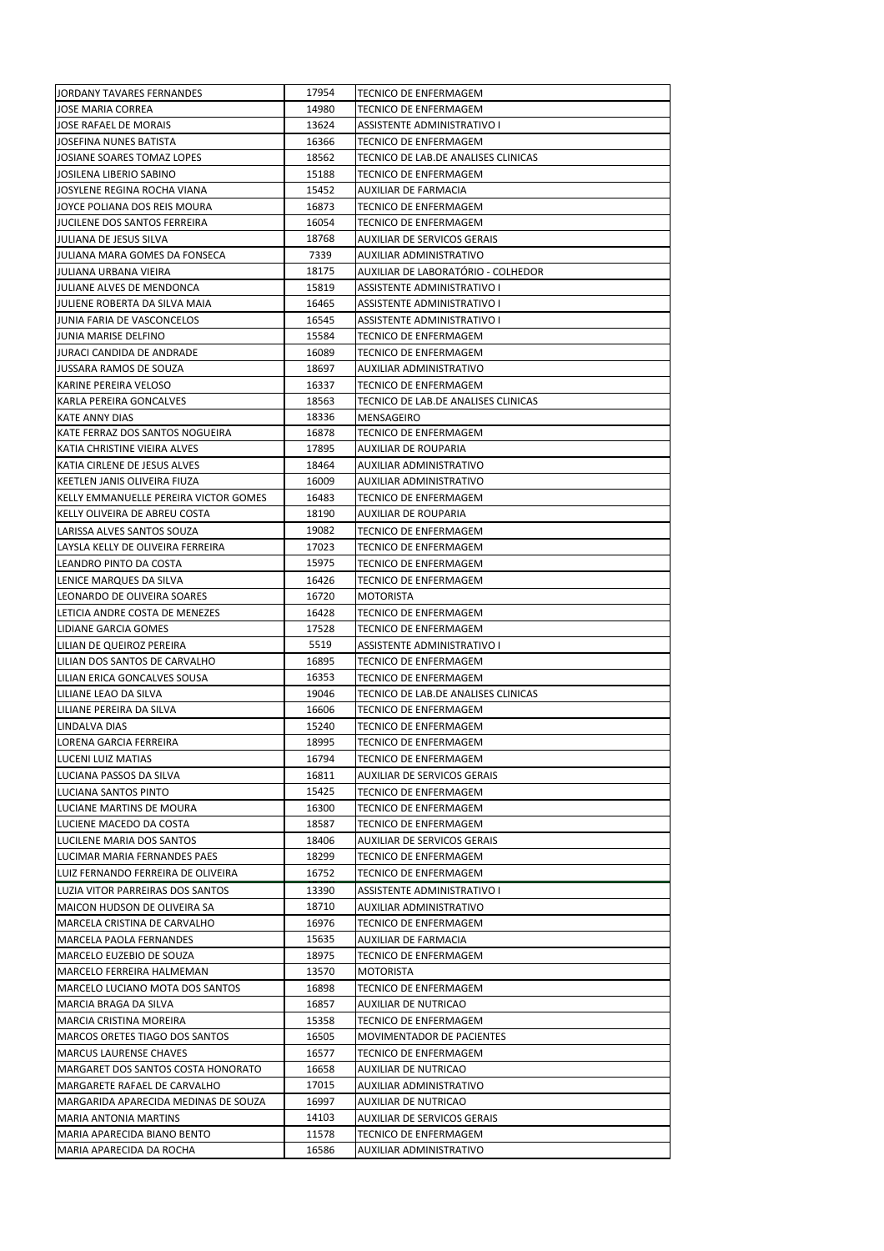| JORDANY TAVARES FERNANDES               | 17954 | <b>TECNICO DE ENFERMAGEM</b>                                 |
|-----------------------------------------|-------|--------------------------------------------------------------|
| JOSE MARIA CORREA                       | 14980 | TECNICO DE ENFERMAGEM                                        |
| JOSE RAFAEL DE MORAIS                   | 13624 | ASSISTENTE ADMINISTRATIVO I                                  |
| JOSEFINA NUNES BATISTA                  | 16366 | <b>TECNICO DE ENFERMAGEM</b>                                 |
| JOSIANE SOARES TOMAZ LOPES              | 18562 | TECNICO DE LAB.DE ANALISES CLINICAS                          |
| JOSILENA LIBERIO SABINO                 | 15188 | TECNICO DE ENFERMAGEM                                        |
| JOSYLENE REGINA ROCHA VIANA             | 15452 | AUXILIAR DE FARMACIA                                         |
| JOYCE POLIANA DOS REIS MOURA            | 16873 | TECNICO DE ENFERMAGEM                                        |
| JUCILENE DOS SANTOS FERREIRA            | 16054 | TECNICO DE ENFERMAGEM                                        |
| JULIANA DE JESUS SILVA                  | 18768 | AUXILIAR DE SERVICOS GERAIS                                  |
| JULIANA MARA GOMES DA FONSECA           | 7339  | AUXILIAR ADMINISTRATIVO                                      |
| JULIANA URBANA VIEIRA                   | 18175 | AUXILIAR DE LABORATÓRIO - COLHEDOR                           |
| JULIANE ALVES DE MENDONCA               | 15819 | <b>ASSISTENTE ADMINISTRATIVO I</b>                           |
| JULIENE ROBERTA DA SILVA MAIA           | 16465 | ASSISTENTE ADMINISTRATIVO I                                  |
| JUNIA FARIA DE VASCONCELOS              | 16545 | ASSISTENTE ADMINISTRATIVO I                                  |
| JUNIA MARISE DELFINO                    | 15584 | TECNICO DE ENFERMAGEM                                        |
| JURACI CANDIDA DE ANDRADE               | 16089 | TECNICO DE ENFERMAGEM                                        |
| JUSSARA RAMOS DE SOUZA                  | 18697 | AUXILIAR ADMINISTRATIVO                                      |
| KARINE PEREIRA VELOSO                   | 16337 | TECNICO DE ENFERMAGEM                                        |
| KARLA PEREIRA GONCALVES                 | 18563 | TECNICO DE LAB.DE ANALISES CLINICAS                          |
| KATE ANNY DIAS                          | 18336 | MENSAGEIRO                                                   |
| KATE FERRAZ DOS SANTOS NOGUEIRA         | 16878 | TECNICO DE ENFERMAGEM                                        |
| KATIA CHRISTINE VIEIRA ALVES            | 17895 | <b>AUXILIAR DE ROUPARIA</b>                                  |
| KATIA CIRLENE DE JESUS ALVES            | 18464 | AUXILIAR ADMINISTRATIVO                                      |
| KEETLEN JANIS OLIVEIRA FIUZA            | 16009 | AUXILIAR ADMINISTRATIVO                                      |
| KELLY EMMANUELLE PEREIRA VICTOR GOMES   | 16483 | TECNICO DE ENFERMAGEM                                        |
| KELLY OLIVEIRA DE ABREU COSTA           | 18190 | AUXILIAR DE ROUPARIA                                         |
| LARISSA ALVES SANTOS SOUZA              | 19082 | TECNICO DE ENFERMAGEM                                        |
| LAYSLA KELLY DE OLIVEIRA FERREIRA       | 17023 | TECNICO DE ENFERMAGEM                                        |
| LEANDRO PINTO DA COSTA                  | 15975 | TECNICO DE ENFERMAGEM                                        |
| LENICE MARQUES DA SILVA                 | 16426 | TECNICO DE ENFERMAGEM                                        |
| LEONARDO DE OLIVEIRA SOARES             | 16720 | MOTORISTA                                                    |
| LETICIA ANDRE COSTA DE MENEZES          | 16428 | TECNICO DE ENFERMAGEM                                        |
| LIDIANE GARCIA GOMES                    | 17528 | TECNICO DE ENFERMAGEM                                        |
| LILIAN DE QUEIROZ PEREIRA               | 5519  | ASSISTENTE ADMINISTRATIVO I                                  |
| LILIAN DOS SANTOS DE CARVALHO           | 16895 | <b>TECNICO DE ENFERMAGEM</b>                                 |
| LILIAN ERICA GONCALVES SOUSA            | 16353 | TECNICO DE ENFERMAGEM                                        |
|                                         | 19046 |                                                              |
| LILIANE LEAO DA SILVA                   | 16606 | TECNICO DE LAB.DE ANALISES CLINICAS<br>TECNICO DE ENFERMAGEM |
| LILIANE PEREIRA DA SILVA                | 15240 |                                                              |
| LINDALVA DIAS<br>LORENA GARCIA FERREIRA | 18995 | TECNICO DE ENFERMAGEM<br>TECNICO DE ENFERMAGEM               |
|                                         | 16794 |                                                              |
| LUCENI LUIZ MATIAS                      |       | TECNICO DE ENFERMAGEM                                        |
| LUCIANA PASSOS DA SILVA                 | 16811 | <b>AUXILIAR DE SERVICOS GERAIS</b>                           |
| LUCIANA SANTOS PINTO                    | 15425 | TECNICO DE ENFERMAGEM                                        |
| LUCIANE MARTINS DE MOURA                | 16300 | TECNICO DE ENFERMAGEM                                        |
| LUCIENE MACEDO DA COSTA                 | 18587 | TECNICO DE ENFERMAGEM                                        |
| LUCILENE MARIA DOS SANTOS               | 18406 | <b>AUXILIAR DE SERVICOS GERAIS</b>                           |
| LUCIMAR MARIA FERNANDES PAES            | 18299 | TECNICO DE ENFERMAGEM                                        |
| LUIZ FERNANDO FERREIRA DE OLIVEIRA      | 16752 | TECNICO DE ENFERMAGEM                                        |
| LUZIA VITOR PARREIRAS DOS SANTOS        | 13390 | ASSISTENTE ADMINISTRATIVO I                                  |
| MAICON HUDSON DE OLIVEIRA SA            |       |                                                              |
|                                         | 18710 | AUXILIAR ADMINISTRATIVO                                      |
| MARCELA CRISTINA DE CARVALHO            | 16976 | TECNICO DE ENFERMAGEM                                        |
| MARCELA PAOLA FERNANDES                 | 15635 | <b>AUXILIAR DE FARMACIA</b>                                  |
| MARCELO EUZEBIO DE SOUZA                | 18975 | <b>TECNICO DE ENFERMAGEM</b>                                 |
| MARCELO FERREIRA HALMEMAN               | 13570 | MOTORISTA                                                    |
| MARCELO LUCIANO MOTA DOS SANTOS         | 16898 | TECNICO DE ENFERMAGEM                                        |
| MARCIA BRAGA DA SILVA                   | 16857 | AUXILIAR DE NUTRICAO                                         |
| MARCIA CRISTINA MOREIRA                 | 15358 | TECNICO DE ENFERMAGEM                                        |
| MARCOS ORETES TIAGO DOS SANTOS          | 16505 | MOVIMENTADOR DE PACIENTES                                    |
| <b>MARCUS LAURENSE CHAVES</b>           | 16577 | TECNICO DE ENFERMAGEM                                        |
| MARGARET DOS SANTOS COSTA HONORATO      | 16658 | AUXILIAR DE NUTRICAO                                         |
| MARGARETE RAFAEL DE CARVALHO            | 17015 | AUXILIAR ADMINISTRATIVO                                      |
| MARGARIDA APARECIDA MEDINAS DE SOUZA    | 16997 | AUXILIAR DE NUTRICAO                                         |
| <b>MARIA ANTONIA MARTINS</b>            | 14103 | AUXILIAR DE SERVICOS GERAIS                                  |
| MARIA APARECIDA BIANO BENTO             | 11578 | TECNICO DE ENFERMAGEM                                        |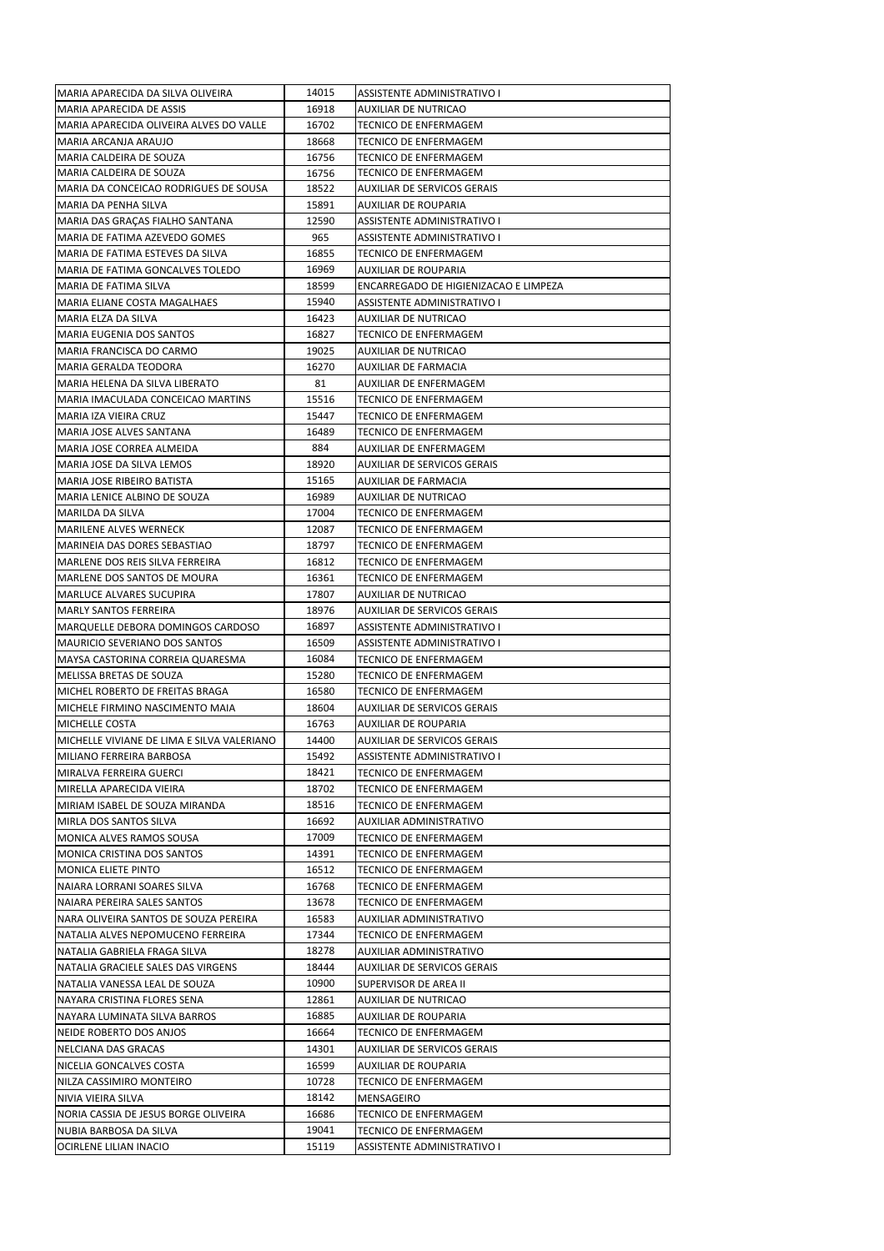| MARIA APARECIDA DA SILVA OLIVEIRA          | 14015 | ASSISTENTE ADMINISTRATIVO I                   |
|--------------------------------------------|-------|-----------------------------------------------|
| MARIA APARECIDA DE ASSIS                   | 16918 | AUXILIAR DE NUTRICAO                          |
| MARIA APARECIDA OLIVEIRA ALVES DO VALLE    | 16702 | TECNICO DE ENFERMAGEM                         |
| MARIA ARCANJA ARAUJO                       | 18668 | TECNICO DE ENFERMAGEM                         |
| MARIA CALDEIRA DE SOUZA                    | 16756 | TECNICO DE ENFERMAGEM                         |
| MARIA CALDEIRA DE SOUZA                    | 16756 | TECNICO DE ENFERMAGEM                         |
| MARIA DA CONCEICAO RODRIGUES DE SOUSA      | 18522 | AUXILIAR DE SERVICOS GERAIS                   |
| MARIA DA PENHA SILVA                       | 15891 | AUXILIAR DE ROUPARIA                          |
| MARIA DAS GRAÇAS FIALHO SANTANA            | 12590 | ASSISTENTE ADMINISTRATIVO I                   |
| MARIA DE FATIMA AZEVEDO GOMES              | 965   | ASSISTENTE ADMINISTRATIVO I                   |
| MARIA DE FATIMA ESTEVES DA SILVA           | 16855 | TECNICO DE ENFERMAGEM                         |
| MARIA DE FATIMA GONCALVES TOLEDO           | 16969 | AUXILIAR DE ROUPARIA                          |
| MARIA DE FATIMA SILVA                      | 18599 | ENCARREGADO DE HIGIENIZACAO E LIMPEZA         |
| MARIA ELIANE COSTA MAGALHAES               | 15940 | ASSISTENTE ADMINISTRATIVO I                   |
| MARIA ELZA DA SILVA                        | 16423 | AUXILIAR DE NUTRICAO                          |
| MARIA EUGENIA DOS SANTOS                   | 16827 | TECNICO DE ENFERMAGEM                         |
| MARIA FRANCISCA DO CARMO                   | 19025 | AUXILIAR DE NUTRICAO                          |
| MARIA GERALDA TEODORA                      | 16270 | AUXILIAR DE FARMACIA                          |
| MARIA HELENA DA SILVA LIBERATO             | 81    | AUXILIAR DE ENFERMAGEM                        |
| MARIA IMACULADA CONCEICAO MARTINS          | 15516 | TECNICO DE ENFERMAGEM                         |
| MARIA IZA VIEIRA CRUZ                      | 15447 | TECNICO DE ENFERMAGEM                         |
| MARIA JOSE ALVES SANTANA                   | 16489 | TECNICO DE ENFERMAGEM                         |
| IMARIA JOSE CORREA ALMEIDA                 | 884   | AUXILIAR DE ENFERMAGEM                        |
| MARIA JOSE DA SILVA LEMOS                  | 18920 | <b>AUXILIAR DE SERVICOS GERAIS</b>            |
| MARIA JOSE RIBEIRO BATISTA                 | 15165 | AUXILIAR DE FARMACIA                          |
| MARIA LENICE ALBINO DE SOUZA               | 16989 | AUXILIAR DE NUTRICAO                          |
| MARILDA DA SILVA                           | 17004 | TECNICO DE ENFERMAGEM                         |
| <b>MARILENE ALVES WERNECK</b>              | 12087 | TECNICO DE ENFERMAGEM                         |
| MARINEIA DAS DORES SEBASTIAO               | 18797 | TECNICO DE ENFERMAGEM                         |
| MARLENE DOS REIS SILVA FERREIRA            | 16812 | TECNICO DE ENFERMAGEM                         |
| MARLENE DOS SANTOS DE MOURA                | 16361 | TECNICO DE ENFERMAGEM                         |
| <b>MARLUCE ALVARES SUCUPIRA</b>            | 17807 | AUXILIAR DE NUTRICAO                          |
| MARLY SANTOS FERREIRA                      | 18976 | AUXILIAR DE SERVICOS GERAIS                   |
| MARQUELLE DEBORA DOMINGOS CARDOSO          | 16897 | ASSISTENTE ADMINISTRATIVO I                   |
| <b>MAURICIO SEVERIANO DOS SANTOS</b>       | 16509 | ASSISTENTE ADMINISTRATIVO I                   |
| MAYSA CASTORINA CORREIA QUARESMA           | 16084 | TECNICO DE ENFERMAGEM                         |
| MELISSA BRETAS DE SOUZA                    | 15280 | TECNICO DE ENFERMAGEM                         |
| MICHEL ROBERTO DE FREITAS BRAGA            | 16580 | TECNICO DE ENFERMAGEM                         |
| MICHELE FIRMINO NASCIMENTO MAIA            | 18604 | AUXILIAR DE SERVICOS GERAIS                   |
| <b>MICHELLE COSTA</b>                      | 16763 | AUXILIAR DE ROUPARIA                          |
| MICHELLE VIVIANE DE LIMA E SILVA VALERIANO | 14400 | AUXILIAR DE SERVICOS GERAIS                   |
| MILIANO FERREIRA BARBOSA                   | 15492 | ASSISTENTE ADMINISTRATIVO I                   |
| MIRALVA FERREIRA GUERCI                    | 18421 | TECNICO DE ENFERMAGEM                         |
| MIRELLA APARECIDA VIEIRA                   | 18702 | TECNICO DE ENFERMAGEM                         |
| MIRIAM ISABEL DE SOUZA MIRANDA             | 18516 | TECNICO DE ENFERMAGEM                         |
| MIRLA DOS SANTOS SILVA                     | 16692 | AUXILIAR ADMINISTRATIVO                       |
| MONICA ALVES RAMOS SOUSA                   | 17009 | TECNICO DE ENFERMAGEM                         |
| MONICA CRISTINA DOS SANTOS                 | 14391 | TECNICO DE ENFERMAGEM                         |
| <b>MONICA ELIETE PINTO</b>                 | 16512 | TECNICO DE ENFERMAGEM                         |
| NAIARA LORRANI SOARES SILVA                | 16768 | TECNICO DE ENFERMAGEM                         |
| NAIARA PEREIRA SALES SANTOS                | 13678 | TECNICO DE ENFERMAGEM                         |
| NARA OLIVEIRA SANTOS DE SOUZA PEREIRA      | 16583 | AUXILIAR ADMINISTRATIVO                       |
| NATALIA ALVES NEPOMUCENO FERREIRA          | 17344 | TECNICO DE ENFERMAGEM                         |
| NATALIA GABRIELA FRAGA SILVA               | 18278 | AUXILIAR ADMINISTRATIVO                       |
| NATALIA GRACIELE SALES DAS VIRGENS         | 18444 | AUXILIAR DE SERVICOS GERAIS                   |
| NATALIA VANESSA LEAL DE SOUZA              | 10900 |                                               |
| NAYARA CRISTINA FLORES SENA                | 12861 | SUPERVISOR DE AREA II<br>AUXILIAR DE NUTRICAO |
| NAYARA LUMINATA SILVA BARROS               | 16885 | AUXILIAR DE ROUPARIA                          |
|                                            | 16664 |                                               |
| NEIDE ROBERTO DOS ANJOS                    |       | TECNICO DE ENFERMAGEM                         |
| NELCIANA DAS GRACAS                        | 14301 | AUXILIAR DE SERVICOS GERAIS                   |
| NICELIA GONCALVES COSTA                    | 16599 | AUXILIAR DE ROUPARIA                          |
| NILZA CASSIMIRO MONTEIRO                   | 10728 | TECNICO DE ENFERMAGEM                         |
| NIVIA VIEIRA SILVA                         | 18142 | MENSAGEIRO                                    |
| NORIA CASSIA DE JESUS BORGE OLIVEIRA       | 16686 | TECNICO DE ENFERMAGEM                         |
| NUBIA BARBOSA DA SILVA                     | 19041 | TECNICO DE ENFERMAGEM                         |
| OCIRLENE LILIAN INACIO                     | 15119 | ASSISTENTE ADMINISTRATIVO I                   |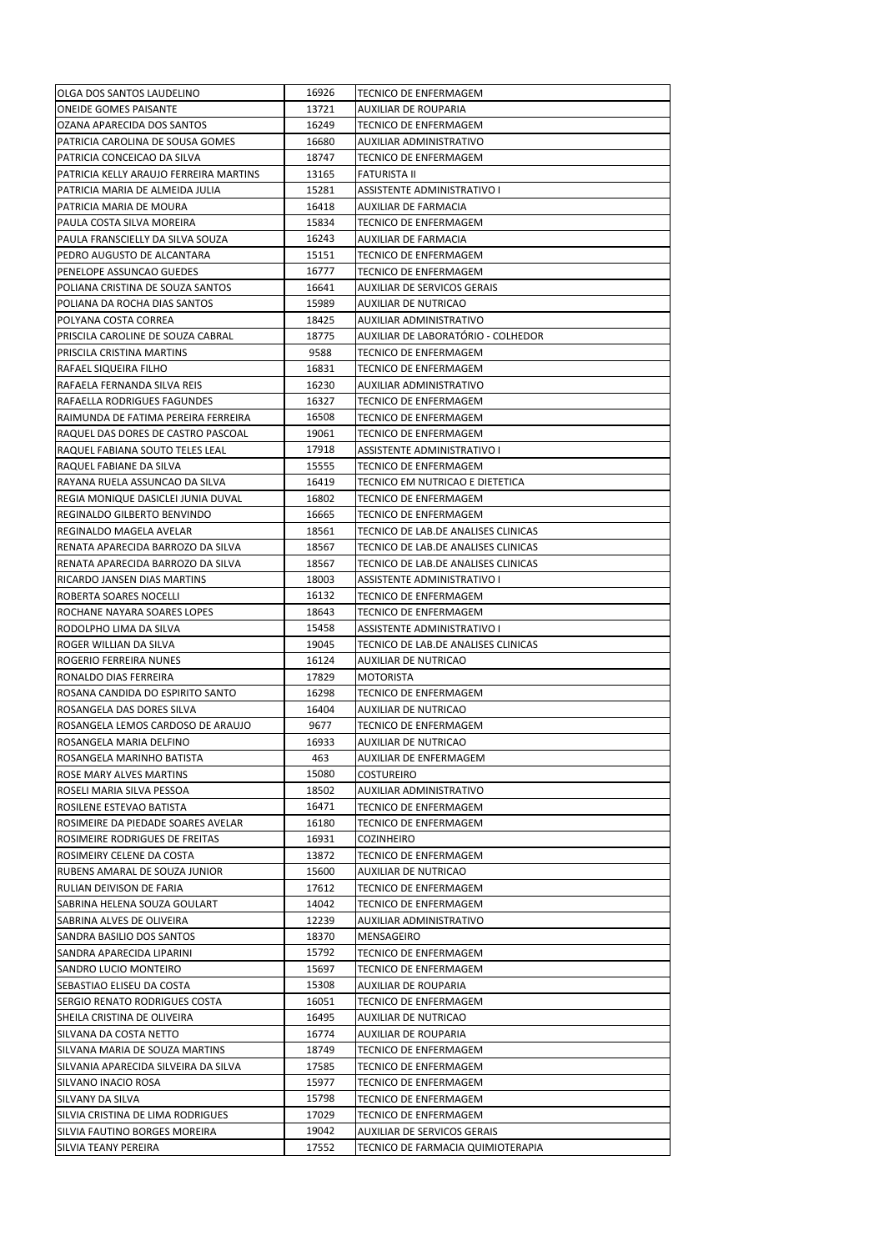| OLGA DOS SANTOS LAUDELINO              | 16926          | <b>TECNICO DE ENFERMAGEM</b>                 |
|----------------------------------------|----------------|----------------------------------------------|
| <b>ONEIDE GOMES PAISANTE</b>           | 13721          | AUXILIAR DE ROUPARIA                         |
| OZANA APARECIDA DOS SANTOS             | 16249          | TECNICO DE ENFERMAGEM                        |
| PATRICIA CAROLINA DE SOUSA GOMES       | 16680          | AUXILIAR ADMINISTRATIVO                      |
| PATRICIA CONCEICAO DA SILVA            | 18747          | TECNICO DE ENFERMAGEM                        |
| PATRICIA KELLY ARAUJO FERREIRA MARTINS | 13165          | FATURISTA II                                 |
| PATRICIA MARIA DE ALMEIDA JULIA        | 15281          | ASSISTENTE ADMINISTRATIVO I                  |
| PATRICIA MARIA DE MOURA                | 16418          | AUXILIAR DE FARMACIA                         |
| PAULA COSTA SILVA MOREIRA              | 15834          | TECNICO DE ENFERMAGEM                        |
| PAULA FRANSCIELLY DA SILVA SOUZA       | 16243          | AUXILIAR DE FARMACIA                         |
| PEDRO AUGUSTO DE ALCANTARA             | 15151          | TECNICO DE ENFERMAGEM                        |
| PENELOPE ASSUNCAO GUEDES               | 16777          | TECNICO DE ENFERMAGEM                        |
| POLIANA CRISTINA DE SOUZA SANTOS       | 16641          | AUXILIAR DE SERVICOS GERAIS                  |
| POLIANA DA ROCHA DIAS SANTOS           | 15989          | AUXILIAR DE NUTRICAO                         |
| POLYANA COSTA CORREA                   | 18425          | AUXILIAR ADMINISTRATIVO                      |
| PRISCILA CAROLINE DE SOUZA CABRAL      | 18775          | AUXILIAR DE LABORATÓRIO - COLHEDOR           |
| PRISCILA CRISTINA MARTINS              | 9588           | TECNICO DE ENFERMAGEM                        |
| RAFAEL SIQUEIRA FILHO                  | 16831          | TECNICO DE ENFERMAGEM                        |
| RAFAELA FERNANDA SILVA REIS            | 16230          | AUXILIAR ADMINISTRATIVO                      |
| RAFAELLA RODRIGUES FAGUNDES            | 16327          | TECNICO DE ENFERMAGEM                        |
| RAIMUNDA DE FATIMA PEREIRA FERREIRA    | 16508          | TECNICO DE ENFERMAGEM                        |
| RAQUEL DAS DORES DE CASTRO PASCOAL     | 19061          | TECNICO DE ENFERMAGEM                        |
| RAQUEL FABIANA SOUTO TELES LEAL        | 17918          | ASSISTENTE ADMINISTRATIVO I                  |
| RAQUEL FABIANE DA SILVA                | 15555          | TECNICO DE ENFERMAGEM                        |
| RAYANA RUELA ASSUNCAO DA SILVA         | 16419          | TECNICO EM NUTRICAO E DIETETICA              |
| REGIA MONIQUE DASICLEI JUNIA DUVAL     | 16802          | TECNICO DE ENFERMAGEM                        |
| REGINALDO GILBERTO BENVINDO            | 16665          | TECNICO DE ENFERMAGEM                        |
| REGINALDO MAGELA AVELAR                | 18561          | TECNICO DE LAB.DE ANALISES CLINICAS          |
| RENATA APARECIDA BARROZO DA SILVA      | 18567          | TECNICO DE LAB.DE ANALISES CLINICAS          |
| RENATA APARECIDA BARROZO DA SILVA      | 18567          | TECNICO DE LAB.DE ANALISES CLINICAS          |
| RICARDO JANSEN DIAS MARTINS            | 18003          | ASSISTENTE ADMINISTRATIVO I                  |
| ROBERTA SOARES NOCELLI                 | 16132          | TECNICO DE ENFERMAGEM                        |
| ROCHANE NAYARA SOARES LOPES            | 18643          | TECNICO DE ENFERMAGEM                        |
| RODOLPHO LIMA DA SILVA                 | 15458          | ASSISTENTE ADMINISTRATIVO I                  |
| ROGER WILLIAN DA SILVA                 | 19045          | TECNICO DE LAB.DE ANALISES CLINICAS          |
| ROGERIO FERREIRA NUNES                 | 16124          | AUXILIAR DE NUTRICAO                         |
| RONALDO DIAS FERREIRA                  | 17829          | MOTORISTA                                    |
| ROSANA CANDIDA DO ESPIRITO SANTO       | 16298          | TECNICO DE ENFERMAGEM                        |
| ROSANGELA DAS DORES SILVA              | 16404          | AUXILIAR DE NUTRICAO                         |
| ROSANGELA LEMOS CARDOSO DE ARAUJO      | 9677           | TECNICO DE ENFERMAGEM                        |
| ROSANGELA MARIA DELFINO                | 16933          | AUXILIAR DE NUTRICAO                         |
| ROSANGELA MARINHO BATISTA              | 463            | AUXILIAR DE ENFERMAGEM                       |
| ROSE MARY ALVES MARTINS                | 15080          | COSTUREIRO                                   |
| ROSELI MARIA SILVA PESSOA              | 18502          | AUXILIAR ADMINISTRATIVO                      |
| ROSILENE ESTEVAO BATISTA               | 16471          | TECNICO DE ENFERMAGEM                        |
| ROSIMEIRE DA PIEDADE SOARES AVELAR     | 16180          | TECNICO DE ENFERMAGEM                        |
| ROSIMEIRE RODRIGUES DE FREITAS         | 16931          | COZINHEIRO                                   |
| ROSIMEIRY CELENE DA COSTA              | 13872          | TECNICO DE ENFERMAGEM                        |
| RUBENS AMARAL DE SOUZA JUNIOR          | 15600          | AUXILIAR DE NUTRICAO                         |
| RULIAN DEIVISON DE FARIA               | 17612          | TECNICO DE ENFERMAGEM                        |
| SABRINA HELENA SOUZA GOULART           | 14042          | TECNICO DE ENFERMAGEM                        |
| SABRINA ALVES DE OLIVEIRA              | 12239          | AUXILIAR ADMINISTRATIVO                      |
| SANDRA BASILIO DOS SANTOS              | 18370          | MENSAGEIRO                                   |
| SANDRA APARECIDA LIPARINI              | 15792          | TECNICO DE ENFERMAGEM                        |
| SANDRO LUCIO MONTEIRO                  | 15697          | TECNICO DE ENFERMAGEM                        |
| SEBASTIAO ELISEU DA COSTA              | 15308          | AUXILIAR DE ROUPARIA                         |
| SERGIO RENATO RODRIGUES COSTA          | 16051          | TECNICO DE ENFERMAGEM                        |
| SHEILA CRISTINA DE OLIVEIRA            | 16495          |                                              |
| SILVANA DA COSTA NETTO                 | 16774          | AUXILIAR DE NUTRICAO<br>AUXILIAR DE ROUPARIA |
|                                        |                |                                              |
| SILVANA MARIA DE SOUZA MARTINS         | 18749          | TECNICO DE ENFERMAGEM                        |
| SILVANIA APARECIDA SILVEIRA DA SILVA   | 17585<br>15977 | TECNICO DE ENFERMAGEM                        |
| SILVANO INACIO ROSA                    | 15798          | TECNICO DE ENFERMAGEM                        |
| SILVANY DA SILVA                       | 17029          | TECNICO DE ENFERMAGEM                        |
| SILVIA CRISTINA DE LIMA RODRIGUES      | 19042          | TECNICO DE ENFERMAGEM                        |
| SILVIA FAUTINO BORGES MOREIRA          |                | AUXILIAR DE SERVICOS GERAIS                  |
| SILVIA TEANY PEREIRA                   | 17552          | TECNICO DE FARMACIA QUIMIOTERAPIA            |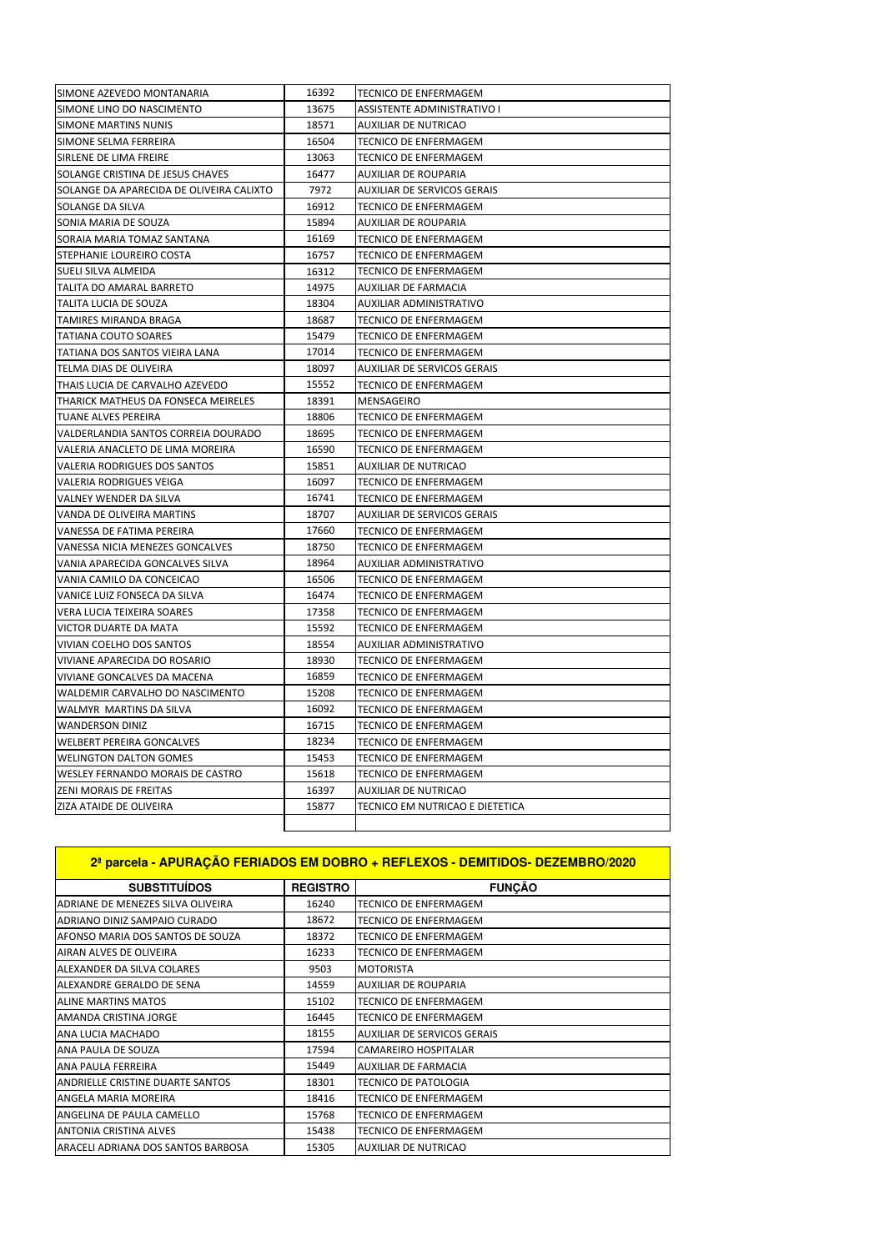| SIMONE AZEVEDO MONTANARIA                | 16392 | <b>TECNICO DE ENFERMAGEM</b>    |
|------------------------------------------|-------|---------------------------------|
| SIMONE LINO DO NASCIMENTO                | 13675 | ASSISTENTE ADMINISTRATIVO I     |
| SIMONE MARTINS NUNIS                     | 18571 | AUXILIAR DE NUTRICAO            |
| SIMONE SELMA FERREIRA                    | 16504 | TECNICO DE ENFERMAGEM           |
| SIRLENE DE LIMA FREIRE                   | 13063 | TECNICO DE ENFERMAGEM           |
| SOLANGE CRISTINA DE JESUS CHAVES         | 16477 | <b>AUXILIAR DE ROUPARIA</b>     |
| SOLANGE DA APARECIDA DE OLIVEIRA CALIXTO | 7972  | AUXILIAR DE SERVICOS GERAIS     |
| SOLANGE DA SILVA                         | 16912 | TECNICO DE ENFERMAGEM           |
| SONIA MARIA DE SOUZA                     | 15894 | AUXILIAR DE ROUPARIA            |
| SORAIA MARIA TOMAZ SANTANA               | 16169 | TECNICO DE ENFERMAGEM           |
| STEPHANIE LOUREIRO COSTA                 | 16757 | TECNICO DE ENFERMAGEM           |
| SUELI SILVA ALMEIDA                      | 16312 | TECNICO DE ENFERMAGEM           |
| TALITA DO AMARAL BARRETO                 | 14975 | AUXILIAR DE FARMACIA            |
| TALITA LUCIA DE SOUZA                    | 18304 | AUXILIAR ADMINISTRATIVO         |
| TAMIRES MIRANDA BRAGA                    | 18687 | <b>TECNICO DE ENFERMAGEM</b>    |
| <b>TATIANA COUTO SOARES</b>              | 15479 | TECNICO DE ENFERMAGEM           |
| TATIANA DOS SANTOS VIEIRA LANA           | 17014 | TECNICO DE ENFERMAGEM           |
| TELMA DIAS DE OLIVEIRA                   | 18097 | AUXILIAR DE SERVICOS GERAIS     |
| THAIS LUCIA DE CARVALHO AZEVEDO          | 15552 | TECNICO DE ENFERMAGEM           |
| THARICK MATHEUS DA FONSECA MEIRELES      | 18391 | MENSAGEIRO                      |
| TUANE ALVES PEREIRA                      | 18806 | TECNICO DE ENFERMAGEM           |
| VALDERLANDIA SANTOS CORREIA DOURADO      | 18695 | TECNICO DE ENFERMAGEM           |
| VALERIA ANACLETO DE LIMA MOREIRA         | 16590 | <b>TECNICO DE ENFERMAGEM</b>    |
| <b>VALERIA RODRIGUES DOS SANTOS</b>      | 15851 | AUXILIAR DE NUTRICAO            |
| VALERIA RODRIGUES VEIGA                  | 16097 | TECNICO DE ENFERMAGEM           |
| VALNEY WENDER DA SILVA                   | 16741 | TECNICO DE ENFERMAGEM           |
| VANDA DE OLIVEIRA MARTINS                | 18707 | AUXILIAR DE SERVICOS GERAIS     |
| VANESSA DE FATIMA PEREIRA                | 17660 | TECNICO DE ENFERMAGEM           |
| VANESSA NICIA MENEZES GONCALVES          | 18750 | TECNICO DE ENFERMAGEM           |
| VANIA APARECIDA GONCALVES SILVA          | 18964 | AUXILIAR ADMINISTRATIVO         |
| VANIA CAMILO DA CONCEICAO                | 16506 | TECNICO DE ENFERMAGEM           |
| VANICE LUIZ FONSECA DA SILVA             | 16474 | TECNICO DE ENFERMAGEM           |
| VERA LUCIA TEIXEIRA SOARES               | 17358 | TECNICO DE ENFERMAGEM           |
| VICTOR DUARTE DA MATA                    | 15592 | TECNICO DE ENFERMAGEM           |
| VIVIAN COELHO DOS SANTOS                 | 18554 | AUXILIAR ADMINISTRATIVO         |
| VIVIANE APARECIDA DO ROSARIO             | 18930 | TECNICO DE ENFERMAGEM           |
| VIVIANE GONCALVES DA MACENA              | 16859 | TECNICO DE ENFERMAGEM           |
| WALDEMIR CARVALHO DO NASCIMENTO          | 15208 | TECNICO DE ENFERMAGEM           |
| WALMYR MARTINS DA SILVA                  | 16092 | TECNICO DE ENFERMAGEM           |
| <b>WANDERSON DINIZ</b>                   | 16715 | <b>TECNICO DE ENFERMAGEM</b>    |
| <b>WELBERT PEREIRA GONCALVES</b>         | 18234 | TECNICO DE ENFERMAGEM           |
| <b>WELINGTON DALTON GOMES</b>            | 15453 | TECNICO DE ENFERMAGEM           |
| WESLEY FERNANDO MORAIS DE CASTRO         | 15618 | TECNICO DE ENFERMAGEM           |
| ZENI MORAIS DE FREITAS                   | 16397 | <b>AUXILIAR DE NUTRICAO</b>     |
| ZIZA ATAIDE DE OLIVEIRA                  | 15877 | TECNICO EM NUTRICAO E DIETETICA |
|                                          |       |                                 |

| 2ª parcela - APURAÇÃO FERIADOS EM DOBRO + REFLEXOS - DEMITIDOS- DEZEMBRO/2020 |                 |                                    |
|-------------------------------------------------------------------------------|-----------------|------------------------------------|
| <b>SUBSTITUÍDOS</b>                                                           | <b>REGISTRO</b> | <b>FUNÇÃO</b>                      |
| ADRIANE DE MENEZES SILVA OLIVEIRA                                             | 16240           | <b>TECNICO DE ENFERMAGEM</b>       |
| ADRIANO DINIZ SAMPAIO CURADO                                                  | 18672           | <b>TECNICO DE ENFERMAGEM</b>       |
| AFONSO MARIA DOS SANTOS DE SOUZA                                              | 18372           | <b>TECNICO DE ENFERMAGEM</b>       |
| AIRAN ALVES DE OLIVEIRA                                                       | 16233           | <b>TECNICO DE ENFERMAGEM</b>       |
| ALEXANDER DA SILVA COLARES                                                    | 9503            | <b>MOTORISTA</b>                   |
| ALEXANDRE GERALDO DE SENA                                                     | 14559           | <b>AUXILIAR DE ROUPARIA</b>        |
| <b>ALINE MARTINS MATOS</b>                                                    | 15102           | <b>TECNICO DE ENFERMAGEM</b>       |
| AMANDA CRISTINA JORGE                                                         | 16445           | <b>TECNICO DE ENFERMAGEM</b>       |
| ANA LUCIA MACHADO                                                             | 18155           | <b>AUXILIAR DE SERVICOS GERAIS</b> |
| ANA PAULA DE SOUZA                                                            | 17594           | <b>CAMAREIRO HOSPITALAR</b>        |
| ANA PAULA FERREIRA                                                            | 15449           | <b>AUXILIAR DE FARMACIA</b>        |
| ANDRIELLE CRISTINE DUARTE SANTOS                                              | 18301           | <b>TECNICO DE PATOLOGIA</b>        |
| ANGELA MARIA MOREIRA                                                          | 18416           | <b>TECNICO DE ENFERMAGEM</b>       |
| ANGELINA DE PAULA CAMELLO                                                     | 15768           | <b>TECNICO DE ENFERMAGEM</b>       |
| <b>ANTONIA CRISTINA ALVES</b>                                                 | 15438           | <b>TECNICO DE ENFERMAGEM</b>       |
| ARACELI ADRIANA DOS SANTOS BARBOSA                                            | 15305           | <b>AUXILIAR DE NUTRICAO</b>        |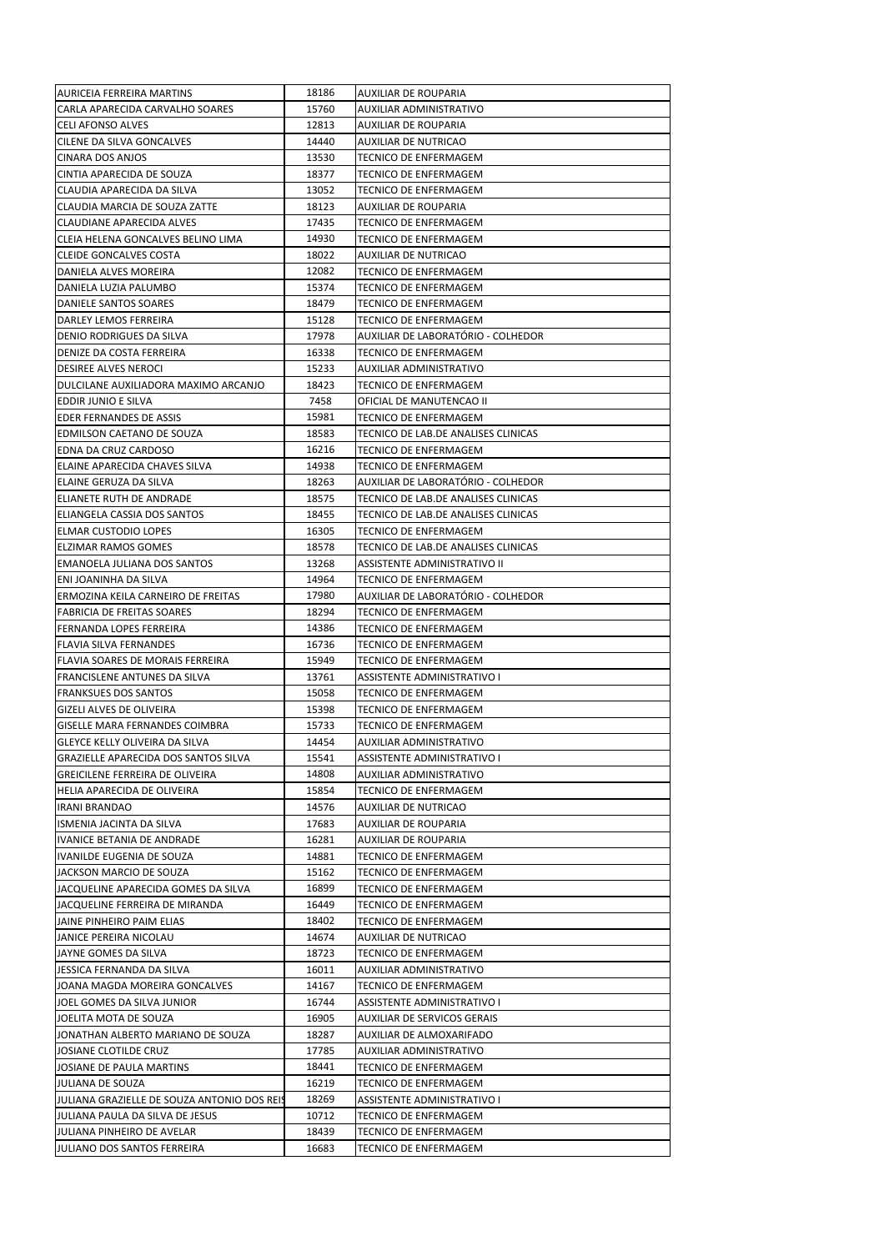| IAURICEIA FERREIRA MARTINS                  | 18186 | AUXILIAR DE ROUPARIA                |
|---------------------------------------------|-------|-------------------------------------|
| CARLA APARECIDA CARVALHO SOARES             | 15760 | AUXILIAR ADMINISTRATIVO             |
| <b>CELI AFONSO ALVES</b>                    | 12813 | AUXILIAR DE ROUPARIA                |
| CILENE DA SILVA GONCALVES                   | 14440 | AUXILIAR DE NUTRICAO                |
| CINARA DOS ANJOS                            | 13530 | TECNICO DE ENFERMAGEM               |
|                                             |       |                                     |
| CINTIA APARECIDA DE SOUZA                   | 18377 | TECNICO DE ENFERMAGEM               |
| CLAUDIA APARECIDA DA SILVA                  | 13052 | TECNICO DE ENFERMAGEM               |
| CLAUDIA MARCIA DE SOUZA ZATTE               | 18123 | AUXILIAR DE ROUPARIA                |
| CLAUDIANE APARECIDA ALVES                   | 17435 | TECNICO DE ENFERMAGEM               |
| CLEIA HELENA GONCALVES BELINO LIMA          | 14930 | TECNICO DE ENFERMAGEM               |
| CLEIDE GONCALVES COSTA                      | 18022 | AUXILIAR DE NUTRICAO                |
| DANIELA ALVES MOREIRA                       | 12082 | TECNICO DE ENFERMAGEM               |
|                                             |       |                                     |
| DANIELA LUZIA PALUMBO                       | 15374 | TECNICO DE ENFERMAGEM               |
| DANIELE SANTOS SOARES                       | 18479 | TECNICO DE ENFERMAGEM               |
| DARLEY LEMOS FERREIRA                       | 15128 | TECNICO DE ENFERMAGEM               |
| DENIO RODRIGUES DA SILVA                    | 17978 | AUXILIAR DE LABORATÓRIO - COLHEDOR  |
| DENIZE DA COSTA FERREIRA                    | 16338 | TECNICO DE ENFERMAGEM               |
| DESIREE ALVES NEROCI                        | 15233 | AUXILIAR ADMINISTRATIVO             |
| DULCILANE AUXILIADORA MAXIMO ARCANJO        | 18423 | TECNICO DE ENFERMAGEM               |
|                                             |       |                                     |
| EDDIR JUNIO E SILVA                         | 7458  | OFICIAL DE MANUTENCAO II            |
| EDER FERNANDES DE ASSIS                     | 15981 | TECNICO DE ENFERMAGEM               |
| EDMILSON CAETANO DE SOUZA                   | 18583 | TECNICO DE LAB.DE ANALISES CLINICAS |
| EDNA DA CRUZ CARDOSO                        | 16216 | TECNICO DE ENFERMAGEM               |
| ELAINE APARECIDA CHAVES SILVA               | 14938 | TECNICO DE ENFERMAGEM               |
| ELAINE GERUZA DA SILVA                      | 18263 | AUXILIAR DE LABORATÓRIO - COLHEDOR  |
|                                             |       |                                     |
| IELIANETE RUTH DE ANDRADE                   | 18575 | TECNICO DE LAB.DE ANALISES CLINICAS |
| ELIANGELA CASSIA DOS SANTOS                 | 18455 | TECNICO DE LAB.DE ANALISES CLINICAS |
| <b>ELMAR CUSTODIO LOPES</b>                 | 16305 | TECNICO DE ENFERMAGEM               |
| <b>ELZIMAR RAMOS GOMES</b>                  | 18578 | TECNICO DE LAB.DE ANALISES CLINICAS |
| EMANOELA JULIANA DOS SANTOS                 | 13268 | ASSISTENTE ADMINISTRATIVO II        |
| ENI JOANINHA DA SILVA                       | 14964 | TECNICO DE ENFERMAGEM               |
| ERMOZINA KEILA CARNEIRO DE FREITAS          | 17980 | AUXILIAR DE LABORATÓRIO - COLHEDOR  |
| <b>FABRICIA DE FREITAS SOARES</b>           | 18294 | TECNICO DE ENFERMAGEM               |
|                                             |       |                                     |
| FERNANDA LOPES FERREIRA                     | 14386 | TECNICO DE ENFERMAGEM               |
| <b>FLAVIA SILVA FERNANDES</b>               | 16736 | TECNICO DE ENFERMAGEM               |
| FLAVIA SOARES DE MORAIS FERREIRA            | 15949 | TECNICO DE ENFERMAGEM               |
| FRANCISLENE ANTUNES DA SILVA                | 13761 | ASSISTENTE ADMINISTRATIVO I         |
| <b>FRANKSUES DOS SANTOS</b>                 | 15058 | TECNICO DE ENFERMAGEM               |
| <b>GIZELI ALVES DE OLIVEIRA</b>             | 15398 | TECNICO DE ENFERMAGEM               |
| GISELLE MARA FERNANDES COIMBRA              | 15733 | TECNICO DE ENFERMAGEM               |
|                                             |       |                                     |
| GLEYCE KELLY OLIVEIRA DA SILVA              | 14454 | AUXILIAR ADMINISTRATIVO             |
| GRAZIELLE APARECIDA DOS SANTOS SILVA        | 15541 | ASSISTENTE ADMINISTRATIVO I         |
| GREICILENE FERREIRA DE OLIVEIRA             | 14808 | AUXILIAR ADMINISTRATIVO             |
| HELIA APARECIDA DE OLIVEIRA                 | 15854 | TECNICO DE ENFERMAGEM               |
| <b>IRANI BRANDAO</b>                        | 14576 | AUXILIAR DE NUTRICAO                |
| ISMENIA JACINTA DA SILVA                    | 17683 | AUXILIAR DE ROUPARIA                |
| IVANICE BETANIA DE ANDRADE                  | 16281 | AUXILIAR DE ROUPARIA                |
|                                             |       |                                     |
| IVANILDE EUGENIA DE SOUZA                   | 14881 | TECNICO DE ENFERMAGEM               |
| JACKSON MARCIO DE SOUZA                     | 15162 | TECNICO DE ENFERMAGEM               |
| JACQUELINE APARECIDA GOMES DA SILVA         | 16899 | TECNICO DE ENFERMAGEM               |
| JACQUELINE FERREIRA DE MIRANDA              | 16449 | TECNICO DE ENFERMAGEM               |
| JAINE PINHEIRO PAIM ELIAS                   | 18402 | TECNICO DE ENFERMAGEM               |
| JANICE PEREIRA NICOLAU                      | 14674 | AUXILIAR DE NUTRICAO                |
| JAYNE GOMES DA SILVA                        | 18723 | TECNICO DE ENFERMAGEM               |
|                                             |       |                                     |
| JESSICA FERNANDA DA SILVA                   | 16011 | AUXILIAR ADMINISTRATIVO             |
| JOANA MAGDA MOREIRA GONCALVES               | 14167 | TECNICO DE ENFERMAGEM               |
| JOEL GOMES DA SILVA JUNIOR                  | 16744 | ASSISTENTE ADMINISTRATIVO I         |
| JOELITA MOTA DE SOUZA                       | 16905 | AUXILIAR DE SERVICOS GERAIS         |
| JONATHAN ALBERTO MARIANO DE SOUZA           | 18287 | AUXILIAR DE ALMOXARIFADO            |
| JOSIANE CLOTILDE CRUZ                       | 17785 | AUXILIAR ADMINISTRATIVO             |
| JOSIANE DE PAULA MARTINS                    | 18441 | TECNICO DE ENFERMAGEM               |
|                                             |       |                                     |
| JULIANA DE SOUZA                            | 16219 | TECNICO DE ENFERMAGEM               |
| JULIANA GRAZIELLE DE SOUZA ANTONIO DOS REIS | 18269 | ASSISTENTE ADMINISTRATIVO I         |
| JULIANA PAULA DA SILVA DE JESUS             | 10712 | TECNICO DE ENFERMAGEM               |
| JULIANA PINHEIRO DE AVELAR                  | 18439 | TECNICO DE ENFERMAGEM               |
| JULIANO DOS SANTOS FERREIRA                 | 16683 | TECNICO DE ENFERMAGEM               |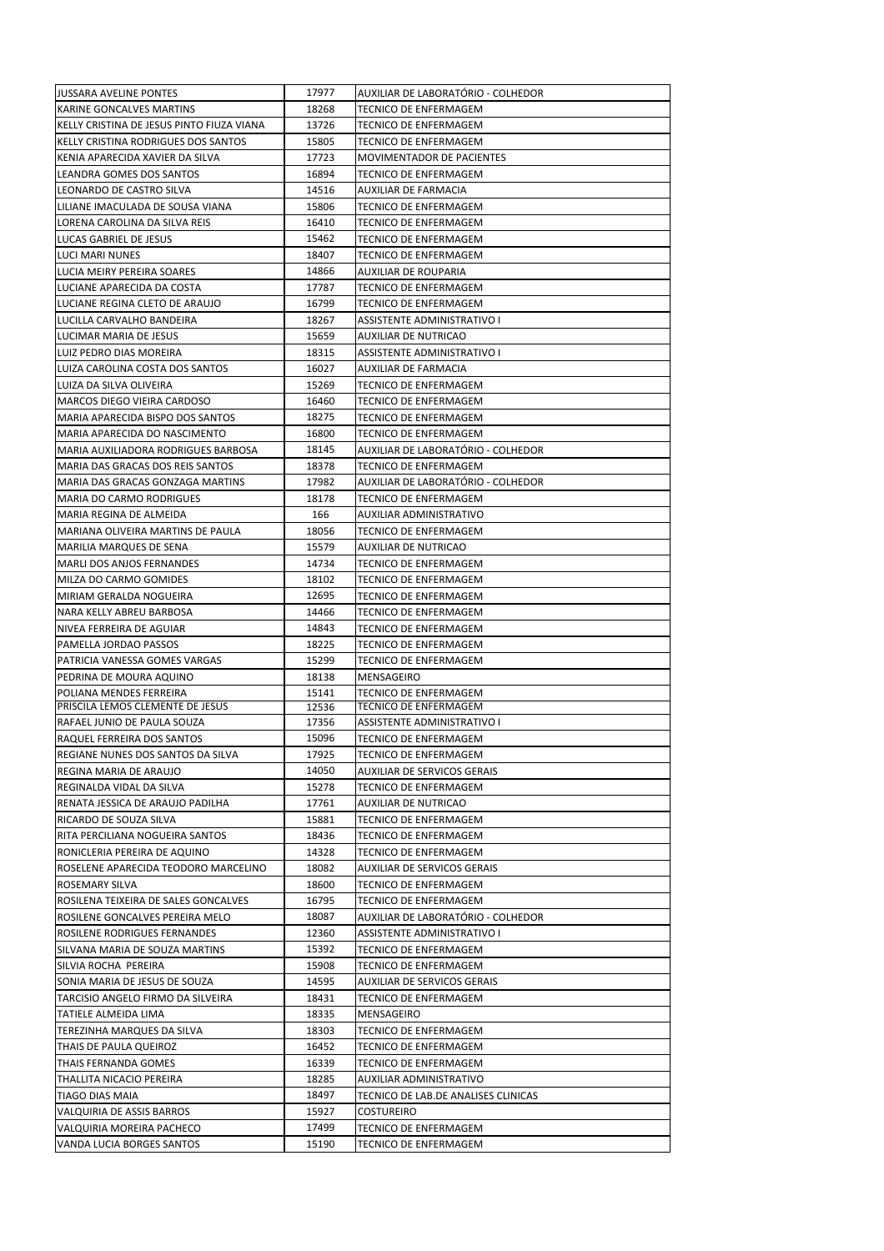| JUSSARA AVELINE PONTES                                               | 17977          | AUXILIAR DE LABORATÓRIO - COLHEDOR                   |
|----------------------------------------------------------------------|----------------|------------------------------------------------------|
| KARINE GONCALVES MARTINS                                             | 18268          | TECNICO DE ENFERMAGEM                                |
| KELLY CRISTINA DE JESUS PINTO FIUZA VIANA                            | 13726          | TECNICO DE ENFERMAGEM                                |
| KELLY CRISTINA RODRIGUES DOS SANTOS                                  | 15805          | TECNICO DE ENFERMAGEM                                |
| KENIA APARECIDA XAVIER DA SILVA                                      | 17723          | MOVIMENTADOR DE PACIENTES                            |
| LEANDRA GOMES DOS SANTOS                                             | 16894          | TECNICO DE ENFERMAGEM                                |
| LEONARDO DE CASTRO SILVA                                             | 14516          | AUXILIAR DE FARMACIA                                 |
| LILIANE IMACULADA DE SOUSA VIANA                                     | 15806          | TECNICO DE ENFERMAGEM                                |
| LORENA CAROLINA DA SILVA REIS                                        | 16410          | TECNICO DE ENFERMAGEM                                |
| LUCAS GABRIEL DE JESUS                                               | 15462          | TECNICO DE ENFERMAGEM                                |
| LUCI MARI NUNES                                                      | 18407          | TECNICO DE ENFERMAGEM                                |
| LUCIA MEIRY PEREIRA SOARES                                           | 14866          | AUXILIAR DE ROUPARIA                                 |
| LUCIANE APARECIDA DA COSTA                                           | 17787          | <b>TECNICO DE ENFERMAGEM</b>                         |
| LUCIANE REGINA CLETO DE ARAUJO                                       | 16799          | TECNICO DE ENFERMAGEM                                |
| LUCILLA CARVALHO BANDEIRA                                            | 18267          | ASSISTENTE ADMINISTRATIVO I                          |
| LUCIMAR MARIA DE JESUS                                               | 15659          | AUXILIAR DE NUTRICAO                                 |
| LUIZ PEDRO DIAS MOREIRA                                              | 18315          | ASSISTENTE ADMINISTRATIVO I                          |
| LUIZA CAROLINA COSTA DOS SANTOS                                      | 16027          | AUXILIAR DE FARMACIA                                 |
| LUIZA DA SILVA OLIVEIRA                                              | 15269          | TECNICO DE ENFERMAGEM                                |
| MARCOS DIEGO VIEIRA CARDOSO                                          | 16460          | TECNICO DE ENFERMAGEM                                |
| MARIA APARECIDA BISPO DOS SANTOS<br>MARIA APARECIDA DO NASCIMENTO    | 18275<br>16800 | TECNICO DE ENFERMAGEM<br>TECNICO DE ENFERMAGEM       |
| <b>MARIA AUXILIADORA RODRIGUES BARBOSA</b>                           | 18145          | AUXILIAR DE LABORATÓRIO - COLHEDOR                   |
| MARIA DAS GRACAS DOS REIS SANTOS                                     | 18378          | TECNICO DE ENFERMAGEM                                |
| MARIA DAS GRACAS GONZAGA MARTINS                                     | 17982          | AUXILIAR DE LABORATÓRIO - COLHEDOR                   |
| <b>MARIA DO CARMO RODRIGUES</b>                                      | 18178          | TECNICO DE ENFERMAGEM                                |
| MARIA REGINA DE ALMEIDA                                              | 166            | AUXILIAR ADMINISTRATIVO                              |
| MARIANA OLIVEIRA MARTINS DE PAULA                                    | 18056          | TECNICO DE ENFERMAGEM                                |
| <b>MARILIA MARQUES DE SENA</b>                                       | 15579          | AUXILIAR DE NUTRICAO                                 |
| <b>MARLI DOS ANJOS FERNANDES</b>                                     | 14734          | TECNICO DE ENFERMAGEM                                |
| MILZA DO CARMO GOMIDES                                               | 18102          | TECNICO DE ENFERMAGEM                                |
| MIRIAM GERALDA NOGUEIRA                                              | 12695          | TECNICO DE ENFERMAGEM                                |
| NARA KELLY ABREU BARBOSA                                             | 14466          | TECNICO DE ENFERMAGEM                                |
|                                                                      |                |                                                      |
| NIVEA FERREIRA DE AGUIAR                                             | 14843          | TECNICO DE ENFERMAGEM                                |
| PAMELLA JORDAO PASSOS                                                | 18225          | TECNICO DE ENFERMAGEM                                |
| PATRICIA VANESSA GOMES VARGAS                                        | 15299          | TECNICO DE ENFERMAGEM                                |
| PEDRINA DE MOURA AQUINO                                              | 18138          | MENSAGEIRO                                           |
| POLIANA MENDES FERREIRA                                              | 15141          | TECNICO DE ENFERMAGEM                                |
| PRISCILA LEMOS CLEMENTE DE JESUS                                     | 12536          | <b>TECNICO DE ENFERMAGEM</b>                         |
| RAFAEL JUNIO DE PAULA SOUZA                                          | 17356          | ASSISTENTE ADMINISTRATIVO I                          |
| RAQUEL FERREIRA DOS SANTOS                                           | 15096          | TECNICO DE ENFERMAGEM                                |
| REGIANE NUNES DOS SANTOS DA SILVA                                    | 17925          | TECNICO DE ENFERMAGEM                                |
| REGINA MARIA DE ARAUJO                                               | 14050          | AUXILIAR DE SERVICOS GERAIS                          |
| REGINALDA VIDAL DA SILVA                                             | 15278          | TECNICO DE ENFERMAGEM                                |
| RENATA JESSICA DE ARAUJO PADILHA                                     | 17761          | AUXILIAR DE NUTRICAO                                 |
| RICARDO DE SOUZA SILVA                                               | 15881          | TECNICO DE ENFERMAGEM                                |
| RITA PERCILIANA NOGUEIRA SANTOS                                      | 18436<br>14328 | TECNICO DE ENFERMAGEM                                |
| RONICLERIA PEREIRA DE AQUINO<br>ROSELENE APARECIDA TEODORO MARCELINO | 18082          | TECNICO DE ENFERMAGEM<br>AUXILIAR DE SERVICOS GERAIS |
| ROSEMARY SILVA                                                       | 18600          | TECNICO DE ENFERMAGEM                                |
| ROSILENA TEIXEIRA DE SALES GONCALVES                                 | 16795          | TECNICO DE ENFERMAGEM                                |
| ROSILENE GONCALVES PEREIRA MELO                                      | 18087          | AUXILIAR DE LABORATÓRIO - COLHEDOR                   |
| ROSILENE RODRIGUES FERNANDES                                         | 12360          | ASSISTENTE ADMINISTRATIVO I                          |
| SILVANA MARIA DE SOUZA MARTINS                                       | 15392          | TECNICO DE ENFERMAGEM                                |
| SILVIA ROCHA PEREIRA                                                 | 15908          | TECNICO DE ENFERMAGEM                                |
| SONIA MARIA DE JESUS DE SOUZA                                        | 14595          | AUXILIAR DE SERVICOS GERAIS                          |
| TARCISIO ANGELO FIRMO DA SILVEIRA                                    | 18431          | TECNICO DE ENFERMAGEM                                |
| TATIELE ALMEIDA LIMA                                                 | 18335          | MENSAGEIRO                                           |
| TEREZINHA MARQUES DA SILVA                                           | 18303          | TECNICO DE ENFERMAGEM                                |
| THAIS DE PAULA QUEIROZ                                               | 16452          | TECNICO DE ENFERMAGEM                                |
| THAIS FERNANDA GOMES                                                 | 16339          | TECNICO DE ENFERMAGEM                                |
| THALLITA NICACIO PEREIRA                                             | 18285          | AUXILIAR ADMINISTRATIVO                              |
| <b>TIAGO DIAS MAIA</b>                                               | 18497          | TECNICO DE LAB.DE ANALISES CLINICAS                  |
| VALQUIRIA DE ASSIS BARROS                                            | 15927          | COSTUREIRO                                           |
| VALQUIRIA MOREIRA PACHECO<br>VANDA LUCIA BORGES SANTOS               | 17499<br>15190 | TECNICO DE ENFERMAGEM<br>TECNICO DE ENFERMAGEM       |